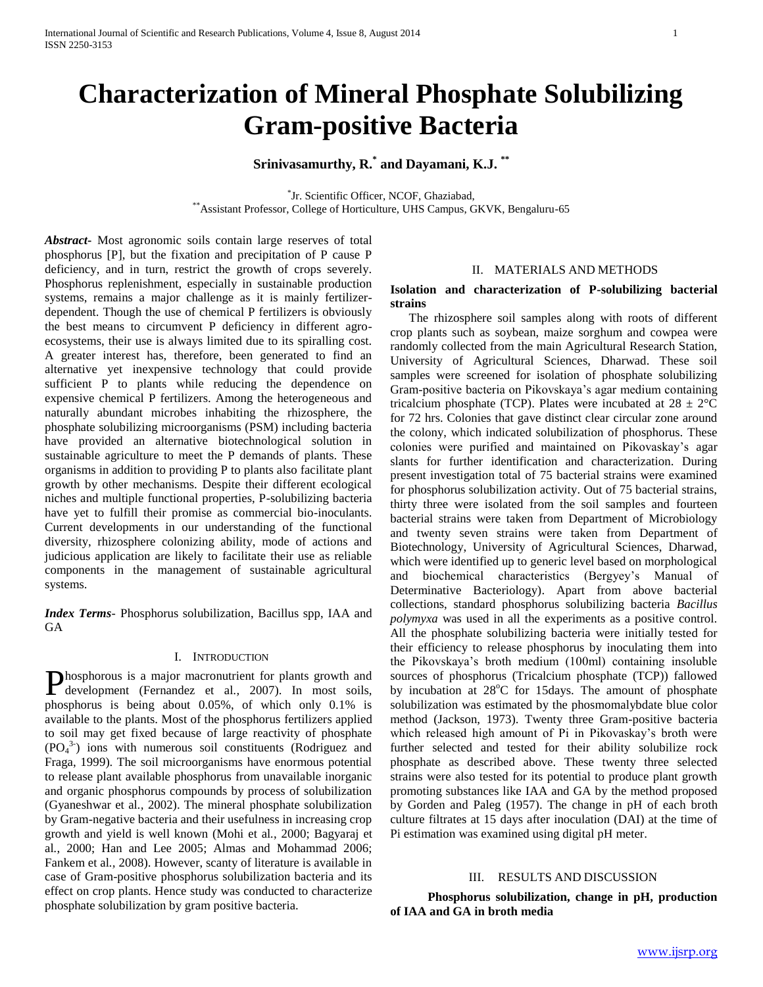# **Characterization of Mineral Phosphate Solubilizing Gram-positive Bacteria**

**Srinivasamurthy, R.\* and Dayamani, K.J. \*\***

\* Jr. Scientific Officer, NCOF, Ghaziabad, \*\*Assistant Professor, College of Horticulture, UHS Campus, GKVK, Bengaluru-65

*Abstract***-** Most agronomic soils contain large reserves of total phosphorus [P], but the fixation and precipitation of P cause P deficiency, and in turn, restrict the growth of crops severely. Phosphorus replenishment, especially in sustainable production systems, remains a major challenge as it is mainly fertilizerdependent. Though the use of chemical P fertilizers is obviously the best means to circumvent P deficiency in different agroecosystems, their use is always limited due to its spiralling cost. A greater interest has, therefore, been generated to find an alternative yet inexpensive technology that could provide sufficient P to plants while reducing the dependence on expensive chemical P fertilizers. Among the heterogeneous and naturally abundant microbes inhabiting the rhizosphere, the phosphate solubilizing microorganisms (PSM) including bacteria have provided an alternative biotechnological solution in sustainable agriculture to meet the P demands of plants. These organisms in addition to providing P to plants also facilitate plant growth by other mechanisms. Despite their different ecological niches and multiple functional properties, P-solubilizing bacteria have yet to fulfill their promise as commercial bio-inoculants. Current developments in our understanding of the functional diversity, rhizosphere colonizing ability, mode of actions and judicious application are likely to facilitate their use as reliable components in the management of sustainable agricultural systems.

*Index Terms*- Phosphorus solubilization, Bacillus spp, IAA and GA

#### I. INTRODUCTION

hosphorous is a major macronutrient for plants growth and Phosphorous is a major macronutrient for plants growth and development (Fernandez et al., 2007). In most soils, phosphorus is being about 0.05%, of which only 0.1% is available to the plants. Most of the phosphorus fertilizers applied to soil may get fixed because of large reactivity of phosphate (PO<sup>4</sup> 3- ) ions with numerous soil constituents (Rodriguez and Fraga, 1999). The soil microorganisms have enormous potential to release plant available phosphorus from unavailable inorganic and organic phosphorus compounds by process of solubilization (Gyaneshwar et al*.,* 2002). The mineral phosphate solubilization by Gram-negative bacteria and their usefulness in increasing crop growth and yield is well known (Mohi et al*.*, 2000; Bagyaraj et al*.*, 2000; Han and Lee 2005; Almas and Mohammad 2006; Fankem et al*.,* 2008). However, scanty of literature is available in case of Gram-positive phosphorus solubilization bacteria and its effect on crop plants. Hence study was conducted to characterize phosphate solubilization by gram positive bacteria.

### II. MATERIALS AND METHODS

#### **Isolation and characterization of P-solubilizing bacterial strains**

 The rhizosphere soil samples along with roots of different crop plants such as soybean, maize sorghum and cowpea were randomly collected from the main Agricultural Research Station, University of Agricultural Sciences, Dharwad. These soil samples were screened for isolation of phosphate solubilizing Gram-positive bacteria on Pikovskaya's agar medium containing tricalcium phosphate (TCP). Plates were incubated at  $28 \pm 2^{\circ}$ C for 72 hrs. Colonies that gave distinct clear circular zone around the colony, which indicated solubilization of phosphorus. These colonies were purified and maintained on Pikovaskay's agar slants for further identification and characterization. During present investigation total of 75 bacterial strains were examined for phosphorus solubilization activity. Out of 75 bacterial strains, thirty three were isolated from the soil samples and fourteen bacterial strains were taken from Department of Microbiology and twenty seven strains were taken from Department of Biotechnology, University of Agricultural Sciences, Dharwad, which were identified up to generic level based on morphological and biochemical characteristics (Bergyey's Manual of Determinative Bacteriology). Apart from above bacterial collections, standard phosphorus solubilizing bacteria *Bacillus polymyxa* was used in all the experiments as a positive control. All the phosphate solubilizing bacteria were initially tested for their efficiency to release phosphorus by inoculating them into the Pikovskaya's broth medium (100ml) containing insoluble sources of phosphorus (Tricalcium phosphate (TCP)) fallowed by incubation at  $28^{\circ}$ C for 15days. The amount of phosphate solubilization was estimated by the phosmomalybdate blue color method (Jackson, 1973). Twenty three Gram-positive bacteria which released high amount of Pi in Pikovaskay's broth were further selected and tested for their ability solubilize rock phosphate as described above. These twenty three selected strains were also tested for its potential to produce plant growth promoting substances like IAA and GA by the method proposed by Gorden and Paleg (1957). The change in pH of each broth culture filtrates at 15 days after inoculation (DAI) at the time of Pi estimation was examined using digital pH meter.

#### III. RESULTS AND DISCUSSION

 **Phosphorus solubilization, change in pH, production of IAA and GA in broth media**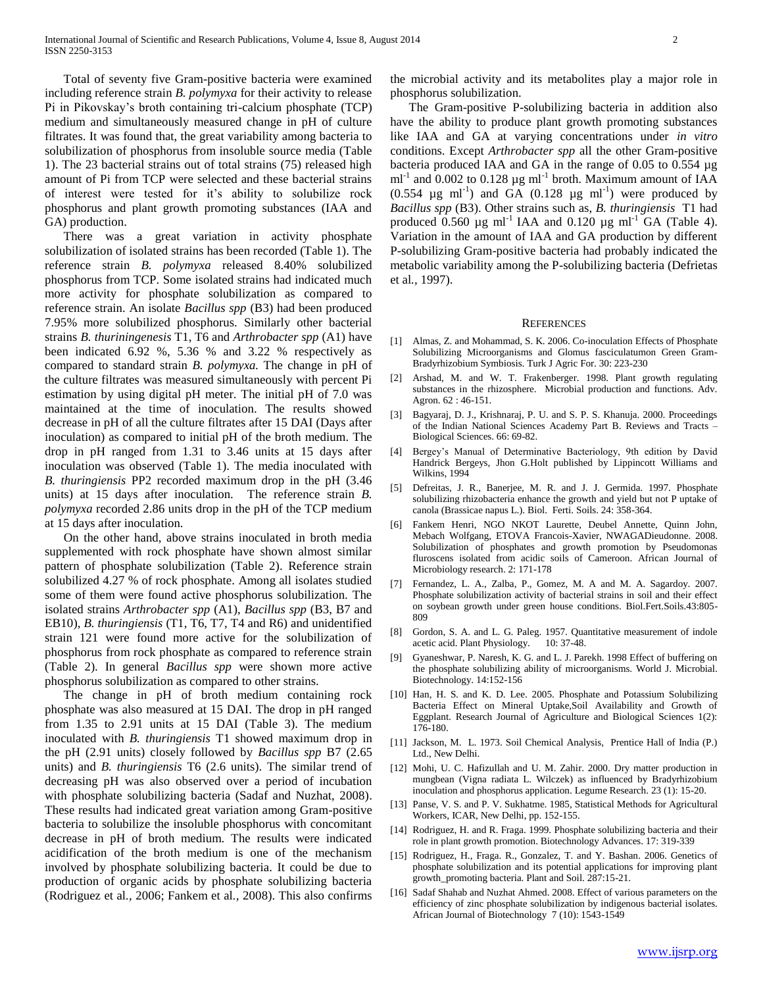Total of seventy five Gram-positive bacteria were examined including reference strain *B. polymyxa* for their activity to release Pi in Pikovskay's broth containing tri-calcium phosphate (TCP) medium and simultaneously measured change in pH of culture filtrates. It was found that, the great variability among bacteria to solubilization of phosphorus from insoluble source media (Table 1). The 23 bacterial strains out of total strains (75) released high amount of Pi from TCP were selected and these bacterial strains of interest were tested for it's ability to solubilize rock phosphorus and plant growth promoting substances (IAA and GA) production.

 There was a great variation in activity phosphate solubilization of isolated strains has been recorded (Table 1). The reference strain *B. polymyxa* released 8.40% solubilized phosphorus from TCP. Some isolated strains had indicated much more activity for phosphate solubilization as compared to reference strain. An isolate *Bacillus spp* (B3) had been produced 7.95% more solubilized phosphorus. Similarly other bacterial strains *B. thuriningenesis* T1, T6 and *Arthrobacter spp* (A1) have been indicated 6.92 %, 5.36 % and 3.22 % respectively as compared to standard strain *B. polymyxa.* The change in pH of the culture filtrates was measured simultaneously with percent Pi estimation by using digital pH meter. The initial pH of 7.0 was maintained at the time of inoculation. The results showed decrease in pH of all the culture filtrates after 15 DAI (Days after inoculation) as compared to initial pH of the broth medium. The drop in pH ranged from 1.31 to 3.46 units at 15 days after inoculation was observed (Table 1). The media inoculated with *B. thuringiensis* PP2 recorded maximum drop in the pH (3.46 units) at 15 days after inoculation. The reference strain *B. polymyxa* recorded 2.86 units drop in the pH of the TCP medium at 15 days after inoculation.

 On the other hand, above strains inoculated in broth media supplemented with rock phosphate have shown almost similar pattern of phosphate solubilization (Table 2). Reference strain solubilized 4.27 % of rock phosphate. Among all isolates studied some of them were found active phosphorus solubilization. The isolated strains *Arthrobacter spp* (A1), *Bacillus spp* (B3, B7 and EB10)*, B. thuringiensis* (T1, T6, T7, T4 and R6) and unidentified strain 121 were found more active for the solubilization of phosphorus from rock phosphate as compared to reference strain (Table 2). In general *Bacillus spp* were shown more active phosphorus solubilization as compared to other strains.

 The change in pH of broth medium containing rock phosphate was also measured at 15 DAI. The drop in pH ranged from 1.35 to 2.91 units at 15 DAI (Table 3). The medium inoculated with *B. thuringiensis* T1 showed maximum drop in the pH (2.91 units) closely followed by *Bacillus spp* B7 (2.65 units) and *B. thuringiensis* T6 (2.6 units). The similar trend of decreasing pH was also observed over a period of incubation with phosphate solubilizing bacteria (Sadaf and Nuzhat, 2008). These results had indicated great variation among Gram-positive bacteria to solubilize the insoluble phosphorus with concomitant decrease in pH of broth medium. The results were indicated acidification of the broth medium is one of the mechanism involved by phosphate solubilizing bacteria. It could be due to production of organic acids by phosphate solubilizing bacteria (Rodriguez et al*.,* 2006; Fankem et al*.,* 2008). This also confirms

the microbial activity and its metabolites play a major role in phosphorus solubilization.

 The Gram-positive P-solubilizing bacteria in addition also have the ability to produce plant growth promoting substances like IAA and GA at varying concentrations under *in vitro*  conditions. Except *Arthrobacter spp* all the other Gram-positive bacteria produced IAA and GA in the range of 0.05 to 0.554 µg ml<sup>-1</sup> and  $0.002$  to  $0.128 \mu g$  ml<sup>-1</sup> broth. Maximum amount of IAA  $(0.554 \text{ µg ml}^{-1})$  and GA  $(0.128 \text{ µg ml}^{-1})$  were produced by *Bacillus spp* (B3). Other strains such as, *B. thuringiensis* T1 had produced 0.560  $\mu$ g ml<sup>-1</sup> IAA and 0.120  $\mu$ g ml<sup>-1</sup> GA (Table 4). Variation in the amount of IAA and GA production by different P-solubilizing Gram-positive bacteria had probably indicated the metabolic variability among the P-solubilizing bacteria (Defrietas et al*.,* 1997).

#### **REFERENCES**

- [1] Almas, Z. and Mohammad, S. K. 2006. Co-inoculation Effects of Phosphate Solubilizing Microorganisms and Glomus fasciculatumon Green Gram-Bradyrhizobium Symbiosis. Turk J Agric For. 30: 223-230
- [2] Arshad, M. and W. T. Frakenberger. 1998. Plant growth regulating substances in the rhizosphere. Microbial production and functions. Adv. Agron. 62 : 46-151.
- [3] Bagyaraj, D. J., Krishnaraj, P. U. and S. P. S. Khanuja. 2000. Proceedings of the Indian National Sciences Academy Part B. Reviews and Tracts – Biological Sciences. 66: 69-82.
- [4] Bergey's Manual of Determinative Bacteriology, 9th edition by David Handrick Bergeys, Jhon G.Holt published by Lippincott Williams and Wilkins, 1994
- [5] Defreitas, J. R., Banerjee, M. R. and J. J. Germida. 1997. Phosphate solubilizing rhizobacteria enhance the growth and yield but not P uptake of canola (Brassicae napus L.). Biol. Ferti. Soils. 24: 358-364.
- [6] Fankem Henri, NGO NKOT Laurette, Deubel Annette, Quinn John, Mebach Wolfgang, ETOVA Francois-Xavier, NWAGADieudonne. 2008. Solubilization of phosphates and growth promotion by Pseudomonas fluroscens isolated from acidic soils of Cameroon. African Journal of Microbiology research. 2: 171-178
- [7] Fernandez, L. A., Zalba, P., Gomez, M. A and M. A. Sagardoy. 2007. Phosphate solubilization activity of bacterial strains in soil and their effect on soybean growth under green house conditions. Biol.Fert.Soils.43:805- 809
- [8] Gordon, S. A. and L. G. Paleg. 1957. Quantitative measurement of indole acetic acid. Plant Physiology. 10: 37-48.
- [9] Gyaneshwar, P. Naresh, K. G. and L. J. Parekh. 1998 Effect of buffering on the phosphate solubilizing ability of microorganisms. World J. Microbial. Biotechnology. 14:152-156
- [10] Han, H. S. and K. D. Lee. 2005. Phosphate and Potassium Solubilizing Bacteria Effect on Mineral Uptake,Soil Availability and Growth of Eggplant. Research Journal of Agriculture and Biological Sciences 1(2): 176-180.
- [11] Jackson, M. L. 1973. Soil Chemical Analysis, Prentice Hall of India (P.) Ltd., New Delhi.
- [12] Mohi, U. C. Hafizullah and U. M. Zahir. 2000. Dry matter production in mungbean (Vigna radiata L. Wilczek) as influenced by Bradyrhizobium inoculation and phosphorus application. Legume Research. 23 (1): 15-20.
- [13] Panse, V. S. and P. V. Sukhatme. 1985, Statistical Methods for Agricultural Workers, ICAR, New Delhi, pp. 152-155.
- [14] Rodriguez, H. and R. Fraga. 1999. Phosphate solubilizing bacteria and their role in plant growth promotion. Biotechnology Advances. 17: 319-339
- [15] Rodriguez, H., Fraga. R., Gonzalez, T. and Y. Bashan. 2006. Genetics of phosphate solubilization and its potential applications for improving plant growth\_promoting bacteria. Plant and Soil. 287:15-21.
- [16] Sadaf Shahab and Nuzhat Ahmed. 2008. Effect of various parameters on the efficiency of zinc phosphate solubilization by indigenous bacterial isolates. African Journal of Biotechnology 7 (10): 1543-1549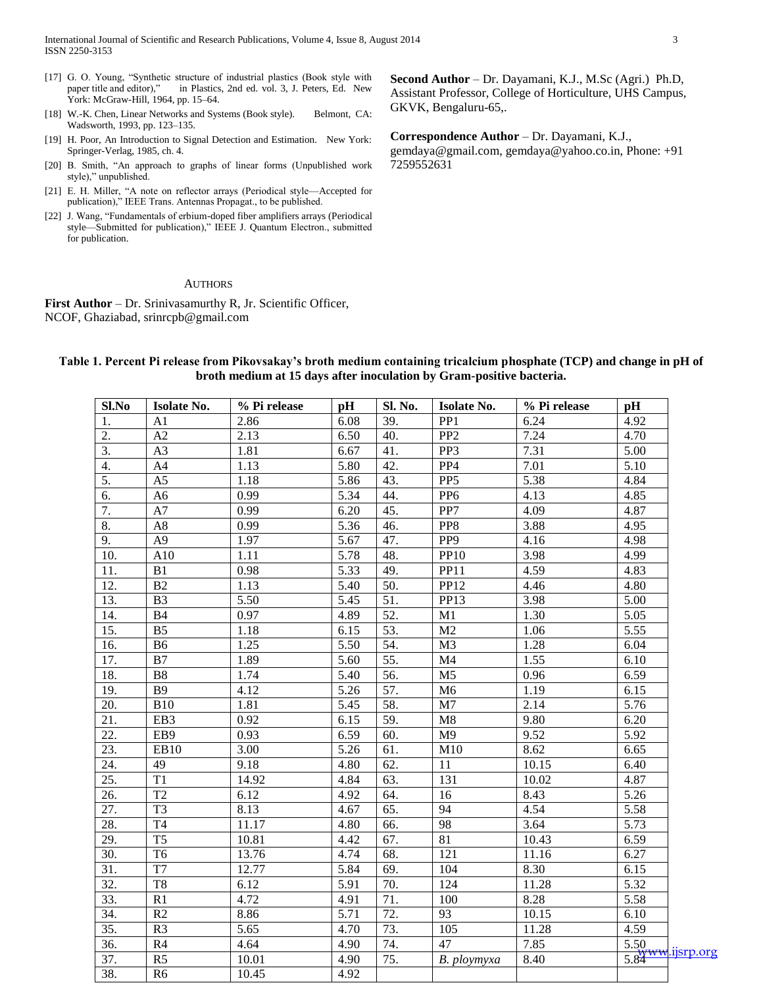- [17] G. O. Young, "Synthetic structure of industrial plastics (Book style with paper title and editor)," in Plastics, 2nd ed. vol. 3, J. Peters, Ed. New in Plastics, 2nd ed. vol. 3, J. Peters, Ed. New York: McGraw-Hill, 1964, pp. 15–64.
- [18] W.-K. Chen, Linear Networks and Systems (Book style). Belmont, CA: Wadsworth, 1993, pp. 123–135.
- [19] H. Poor, An Introduction to Signal Detection and Estimation. New York: Springer-Verlag, 1985, ch. 4.
- [20] B. Smith, "An approach to graphs of linear forms (Unpublished work style)," unpublished.
- [21] E. H. Miller, "A note on reflector arrays (Periodical style—Accepted for publication)," IEEE Trans. Antennas Propagat., to be published.
- [22] J. Wang, "Fundamentals of erbium-doped fiber amplifiers arrays (Periodical style—Submitted for publication)," IEEE J. Quantum Electron., submitted for publication.

#### **AUTHORS**

**First Author** – Dr. Srinivasamurthy R, Jr. Scientific Officer, NCOF, Ghaziabad, srinrcpb@gmail.com

**Second Author** – Dr. Dayamani, K.J., M.Sc (Agri.) Ph.D, Assistant Professor, College of Horticulture, UHS Campus, GKVK, Bengaluru-65,.

**Correspondence Author** – Dr. Dayamani, K.J., gemdaya@gmail.com, gemdaya@yahoo.co.in, Phone: +91 7259552631

| Sl.No             | Isolate No.            | % Pi release | pH                | Sl. No.           | Isolate No.      | % Pi release | pH                |                    |
|-------------------|------------------------|--------------|-------------------|-------------------|------------------|--------------|-------------------|--------------------|
| 1.                | A1                     | 2.86         | 6.08              | 39.               | PP <sub>1</sub>  | 6.24         | 4.92              |                    |
| 2.                | A2                     | 2.13         | 6.50              | 40.               | PP <sub>2</sub>  | 7.24         | 4.70              |                    |
| 3.                | A <sub>3</sub>         | 1.81         | 6.67              | 41.               | PP3              | 7.31         | 5.00              |                    |
| 4.                | A <sub>4</sub>         | 1.13         | 5.80              | 42.               | PP4              | 7.01         | 5.10              |                    |
| 5.                | $\overline{A5}$        | 1.18         | 5.86              | 43.               | PP <sub>5</sub>  | 5.38         | 4.84              |                    |
| 6.                | A <sub>6</sub>         | 0.99         | 5.34              | 44.               | PP <sub>6</sub>  | 4.13         | 4.85              |                    |
| 7.                | A7                     | 0.99         | 6.20              | 45.               | PP7              | 4.09         | 4.87              |                    |
| 8.                | A8                     | 0.99         | 5.36              | 46.               | PP8              | 3.88         | 4.95              |                    |
| 9.                | A <sub>9</sub>         | 1.97         | 5.67              | 47.               | PP <sub>9</sub>  | 4.16         | 4.98              |                    |
| 10.               | A10                    | 1.11         | 5.78              | 48.               | <b>PP10</b>      | 3.98         | 4.99              |                    |
| 11.               | B1                     | 0.98         | 5.33              | 49.               | PP11             | 4.59         | 4.83              |                    |
| 12.               | B2                     | 1.13         | 5.40              | $\overline{50}$ . | <b>PP12</b>      | 4.46         | 4.80              |                    |
| 13.               | B <sub>3</sub>         | 5.50         | 5.45              | 51.               | PP13             | 3.98         | 5.00              |                    |
| 14.               | <b>B4</b>              | 0.97         | 4.89              | 52.               | M1               | 1.30         | 5.05              |                    |
| $\overline{15}$ . | $\overline{B5}$        | 1.18         | 6.15              | 53.               | $\overline{M2}$  | 1.06         | $\overline{5.55}$ |                    |
| 16.               | <b>B6</b>              | 1.25         | 5.50              | 54.               | M <sub>3</sub>   | 1.28         | 6.04              |                    |
| 17.               | B7                     | 1.89         | 5.60              | $\overline{55}$ . | M <sub>4</sub>   | 1.55         | 6.10              |                    |
| 18.               | B <sub>8</sub>         | 1.74         | 5.40              | 56.               | M <sub>5</sub>   | 0.96         | 6.59              |                    |
| 19.               | <b>B9</b>              | 4.12         | 5.26              | 57.               | M <sub>6</sub>   | 1.19         | 6.15              |                    |
| 20.               | B10                    | 1.81         | 5.45              | 58.               | M7               | 2.14         | 5.76              |                    |
| $\overline{21}$ . | EB <sub>3</sub>        | 0.92         | 6.15              | 59.               | $\overline{M8}$  | 9.80         | 6.20              |                    |
| 22.               | EB9                    | 0.93         | 6.59              | $\overline{60}$ . | M <sub>9</sub>   | 9.52         | $\overline{5.92}$ |                    |
| $\overline{23}$ . | EB10                   | 3.00         | $\overline{5.26}$ | $\overline{61}$ . | M10              | 8.62         | 6.65              |                    |
| 24.               | 49                     | 9.18         | 4.80              | $\overline{62}$ . | 11               | 10.15        | 6.40              |                    |
| $\overline{25}$ . | $\overline{T1}$        | 14.92        | 4.84              | $\overline{63}$ . | 131              | 10.02        | 4.87              |                    |
| 26.               | $\overline{T2}$        | 6.12         | 4.92              | 64.               | $\overline{16}$  | 8.43         | $\overline{5.26}$ |                    |
| 27.               | $\overline{T3}$        | 8.13         | 4.67              | $\overline{65}$ . | 94               | 4.54         | $\overline{5.58}$ |                    |
| 28.               | T <sub>4</sub>         | 11.17        | 4.80              | 66.               | $\overline{98}$  | 3.64         | 5.73              |                    |
| 29.               | $\overline{\text{T}5}$ | 10.81        | 4.42              | 67.               | $\overline{81}$  | 10.43        | 6.59              |                    |
| $\overline{30}$ . | T <sub>6</sub>         | 13.76        | 4.74              | 68.               | $\overline{121}$ | 11.16        | 6.27              |                    |
| 31.               | T <sub>7</sub>         | 12.77        | 5.84              | 69.               | 104              | 8.30         | 6.15              |                    |
| $\overline{32}$ . | T <sub>8</sub>         | 6.12         | 5.91              | 70.               | 124              | 11.28        | $\overline{5.32}$ |                    |
| $\overline{33}$ . | $\overline{R1}$        | 4.72         | 4.91              | 71.               | 100              | 8.28         | $\overline{5.58}$ |                    |
| 34.               | R2                     | 8.86         | 5.71              | 72.               | $\overline{93}$  | 10.15        | 6.10              |                    |
| 35.               | R <sub>3</sub>         | 5.65         | 4.70              | 73.               | 105              | 11.28        | 4.59              |                    |
| $\overline{36}$ . | R4                     | 4.64         | 4.90              | 74.               | 47               | 7.85         | $\overline{5.50}$ |                    |
| 37.               | R <sub>5</sub>         | 10.01        | 4.90              | 75.               | B. ploymyxa      | 8.40         |                   | 5.84 www.ijsrp.org |
| 38.               | R <sub>6</sub>         | 10.45        | 4.92              |                   |                  |              |                   |                    |

# **Table 1. Percent Pi release from Pikovsakay's broth medium containing tricalcium phosphate (TCP) and change in pH of broth medium at 15 days after inoculation by Gram-positive bacteria.**